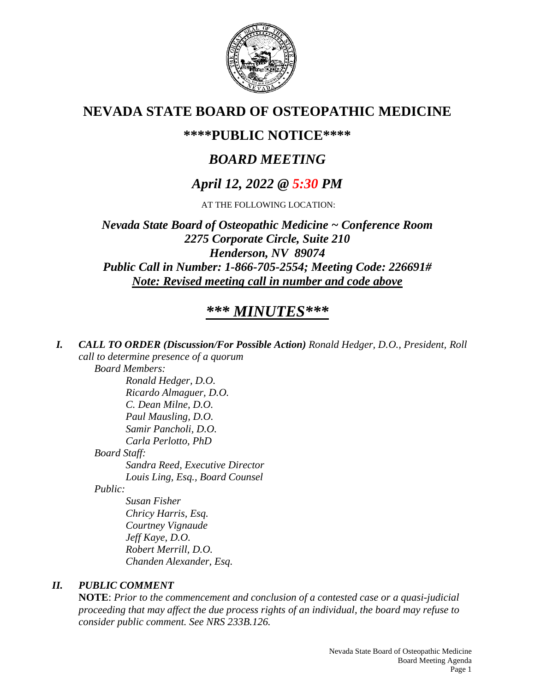

# **NEVADA STATE BOARD OF OSTEOPATHIC MEDICINE**

## **\*\*\*\*PUBLIC NOTICE\*\*\*\***

# *BOARD MEETING*

# *April 12, 2022 @ 5:30 PM*

AT THE FOLLOWING LOCATION:

*Nevada State Board of Osteopathic Medicine ~ Conference Room 2275 Corporate Circle, Suite 210 Henderson, NV 89074 Public Call in Number: 1-866-705-2554; Meeting Code: 226691# Note: Revised meeting call in number and code above*

# *\*\*\* MINUTES\*\*\**

*I. CALL TO ORDER (Discussion/For Possible Action) Ronald Hedger, D.O., President, Roll call to determine presence of a quorum*

*Board Members:*

*Ronald Hedger, D.O. Ricardo Almaguer, D.O. C. Dean Milne, D.O. Paul Mausling, D.O. Samir Pancholi, D.O. Carla Perlotto, PhD Board Staff: Sandra Reed, Executive Director Louis Ling, Esq., Board Counsel*

*Public:*

*Susan Fisher Chricy Harris, Esq. Courtney Vignaude Jeff Kaye, D.O. Robert Merrill, D.O. Chanden Alexander, Esq.*

## *II. PUBLIC COMMENT*

**NOTE**: *Prior to the commencement and conclusion of a contested case or a quasi-judicial proceeding that may affect the due process rights of an individual, the board may refuse to consider public comment. See NRS 233B.126.*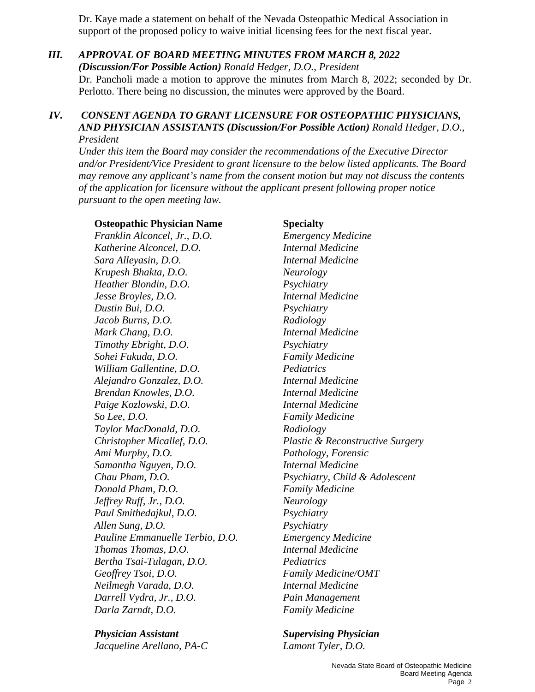Dr. Kaye made a statement on behalf of the Nevada Osteopathic Medical Association in support of the proposed policy to waive initial licensing fees for the next fiscal year.

## *III. APPROVAL OF BOARD MEETING MINUTES FROM MARCH 8, 2022*

*(Discussion/For Possible Action) Ronald Hedger, D.O., President* Dr. Pancholi made a motion to approve the minutes from March 8, 2022; seconded by Dr. Perlotto. There being no discussion, the minutes were approved by the Board.

### *IV. CONSENT AGENDA TO GRANT LICENSURE FOR OSTEOPATHIC PHYSICIANS, AND PHYSICIAN ASSISTANTS (Discussion/For Possible Action) Ronald Hedger, D.O., President*

*Under this item the Board may consider the recommendations of the Executive Director and/or President/Vice President to grant licensure to the below listed applicants. The Board may remove any applicant's name from the consent motion but may not discuss the contents of the application for licensure without the applicant present following proper notice pursuant to the open meeting law.*

### **Osteopathic Physician Name Specialty**

*Franklin Alconcel, Jr., D.O. Emergency Medicine Katherine Alconcel, D.O. Internal Medicine Sara Alleyasin, D.O. Internal Medicine Krupesh Bhakta, D.O. Neurology Heather Blondin, D.O. Psychiatry Jesse Broyles, D.O. Internal Medicine Dustin Bui, D.O. Psychiatry Jacob Burns, D.O. Radiology Mark Chang, D.O. Internal Medicine Timothy Ebright, D.O. Psychiatry Sohei Fukuda, D.O. Family Medicine William Gallentine, D.O. Pediatrics Alejandro Gonzalez, D.O. Internal Medicine Brendan Knowles, D.O. Internal Medicine Paige Kozlowski, D.O. Internal Medicine So Lee, D.O. Family Medicine Taylor MacDonald, D.O. Radiology Christopher Micallef, D.O. Plastic & Reconstructive Surgery Ami Murphy, D.O. Pathology, Forensic Samantha Nguyen, D.O. Internal Medicine Chau Pham, D.O. Psychiatry, Child & Adolescent Donald Pham, D.O. Family Medicine Jeffrey Ruff, Jr., D.O. Neurology Paul Smithedajkul, D.O. Psychiatry Allen Sung, D.O. Psychiatry Pauline Emmanuelle Terbio, D.O. Emergency Medicine Thomas Thomas, D.O. Internal Medicine Bertha Tsai-Tulagan, D.O. Pediatrics Geoffrey Tsoi, D.O. Family Medicine/OMT Neilmegh Varada, D.O. Internal Medicine Darrell Vydra, Jr., D.O. Pain Management Darla Zarndt, D.O. Family Medicine*

*Physician Assistant Supervising Physician Jacqueline Arellano, PA-C Lamont Tyler, D.O.*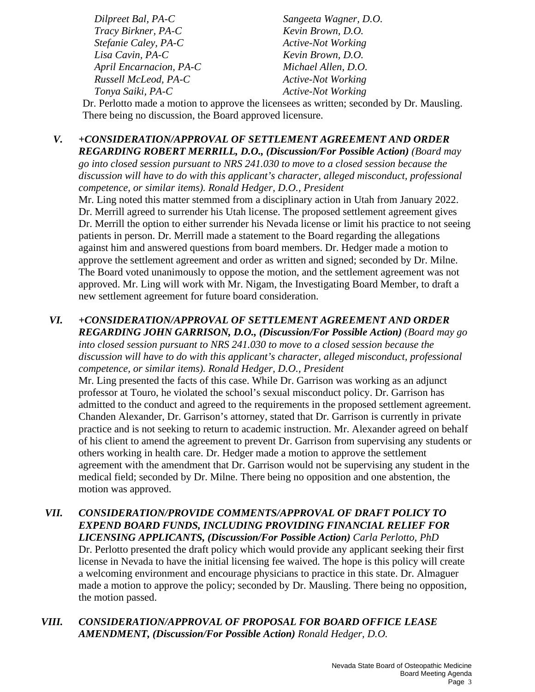*Dilpreet Bal, PA-C Sangeeta Wagner, D.O. Tracy Birkner, PA-C Kevin Brown, D.O. Stefanie Caley, PA-C* Active-Not Working *Lisa Cavin, PA-C Kevin Brown, D.O. April Encarnacion, PA-C Michael Allen, D.O. Russell McLeod, PA-C Active-Not Working Tonya Saiki, PA-C Active-Not Working* 

Dr. Perlotto made a motion to approve the licensees as written; seconded by Dr. Mausling. There being no discussion, the Board approved licensure.

### *V. +CONSIDERATION/APPROVAL OF SETTLEMENT AGREEMENT AND ORDER REGARDING ROBERT MERRILL, D.O., (Discussion/For Possible Action) (Board may*

*go into closed session pursuant to NRS 241.030 to move to a closed session because the discussion will have to do with this applicant's character, alleged misconduct, professional competence, or similar items). Ronald Hedger, D.O., President*

Mr. Ling noted this matter stemmed from a disciplinary action in Utah from January 2022. Dr. Merrill agreed to surrender his Utah license. The proposed settlement agreement gives Dr. Merrill the option to either surrender his Nevada license or limit his practice to not seeing patients in person. Dr. Merrill made a statement to the Board regarding the allegations against him and answered questions from board members. Dr. Hedger made a motion to approve the settlement agreement and order as written and signed; seconded by Dr. Milne. The Board voted unanimously to oppose the motion, and the settlement agreement was not approved. Mr. Ling will work with Mr. Nigam, the Investigating Board Member, to draft a new settlement agreement for future board consideration.

## *VI. +CONSIDERATION/APPROVAL OF SETTLEMENT AGREEMENT AND ORDER REGARDING JOHN GARRISON, D.O., (Discussion/For Possible Action) (Board may go*

*into closed session pursuant to NRS 241.030 to move to a closed session because the discussion will have to do with this applicant's character, alleged misconduct, professional competence, or similar items). Ronald Hedger, D.O., President*

Mr. Ling presented the facts of this case. While Dr. Garrison was working as an adjunct professor at Touro, he violated the school's sexual misconduct policy. Dr. Garrison has admitted to the conduct and agreed to the requirements in the proposed settlement agreement. Chanden Alexander, Dr. Garrison's attorney, stated that Dr. Garrison is currently in private practice and is not seeking to return to academic instruction. Mr. Alexander agreed on behalf of his client to amend the agreement to prevent Dr. Garrison from supervising any students or others working in health care. Dr. Hedger made a motion to approve the settlement agreement with the amendment that Dr. Garrison would not be supervising any student in the medical field; seconded by Dr. Milne. There being no opposition and one abstention, the motion was approved.

## *VII. CONSIDERATION/PROVIDE COMMENTS/APPROVAL OF DRAFT POLICY TO EXPEND BOARD FUNDS, INCLUDING PROVIDING FINANCIAL RELIEF FOR LICENSING APPLICANTS, (Discussion/For Possible Action) Carla Perlotto, PhD*

Dr. Perlotto presented the draft policy which would provide any applicant seeking their first license in Nevada to have the initial licensing fee waived. The hope is this policy will create a welcoming environment and encourage physicians to practice in this state. Dr. Almaguer made a motion to approve the policy; seconded by Dr. Mausling. There being no opposition, the motion passed.

## *VIII. CONSIDERATION/APPROVAL OF PROPOSAL FOR BOARD OFFICE LEASE AMENDMENT, (Discussion/For Possible Action) Ronald Hedger, D.O.*